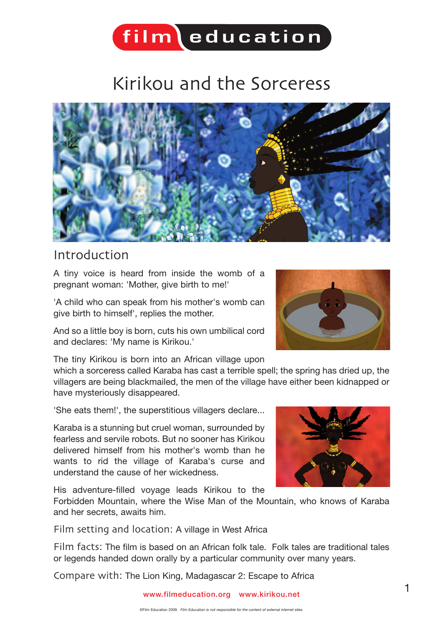### $\int$ film $\int$ education

### Kirikou and the Sorceress



#### Introduction

A tiny voice is heard from inside the womb of a pregnant woman: 'Mother, give birth to me!'

'A child who can speak from his mother's womb can give birth to himself', replies the mother.

And so a little boy is born, cuts his own umbilical cord and declares: 'My name is Kirikou.'

The tiny Kirikou is born into an African village upon

which a sorceress called Karaba has cast a terrible spell; the spring has dried up, the villagers are being blackmailed, the men of the village have either been kidnapped or have mysteriously disappeared.

'She eats them!', the superstitious villagers declare...

Karaba is a stunning but cruel woman, surrounded by fearless and servile robots. But no sooner has Kirikou delivered himself from his mother's womb than he wants to rid the village of Karaba's curse and understand the cause of her wickedness.

His adventure-filled voyage leads Kirikou to the

Forbidden Mountain, where the Wise Man of the Mountain, who knows of Karaba and her secrets, awaits him.

Film setting and location: A village in West Africa

Film facts: The film is based on an African folk tale. Folk tales are traditional tales or legends handed down orally by a particular community over many years.

Compare with: The Lion King, Madagascar 2: Escape to Africa





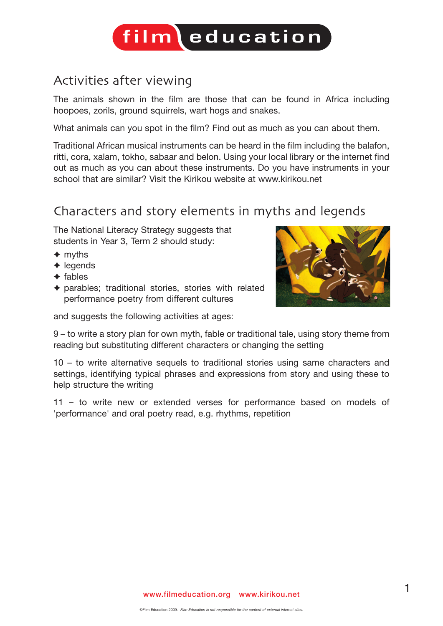### Activities after viewing

The animals shown in the film are those that can be found in Africa including hoopoes, zorils, ground squirrels, wart hogs and snakes.

What animals can you spot in the film? Find out as much as you can about them.

Traditional African musical instruments can be heard in the film including the balafon, ritti, cora, xalam, tokho, sabaar and belon. Using your local library or the internet find out as much as you can about these instruments. Do you have instruments in your school that are similar? Visit the Kirikou website at www.kirikou.net

#### Characters and story elements in myths and legends

The National Literacy Strategy suggests that students in Year 3, Term 2 should study:

- ✦ myths
- $\triangle$  legends
- ✦ fables
- ✦ parables; traditional stories, stories with related performance poetry from different cultures

and suggests the following activities at ages:



9 – to write a story plan for own myth, fable or traditional tale, using story theme from reading but substituting different characters or changing the setting

10 – to write alternative sequels to traditional stories using same characters and settings, identifying typical phrases and expressions from story and using these to help structure the writing

11 – to write new or extended verses for performance based on models of 'performance' and oral poetry read, e.g. rhythms, repetition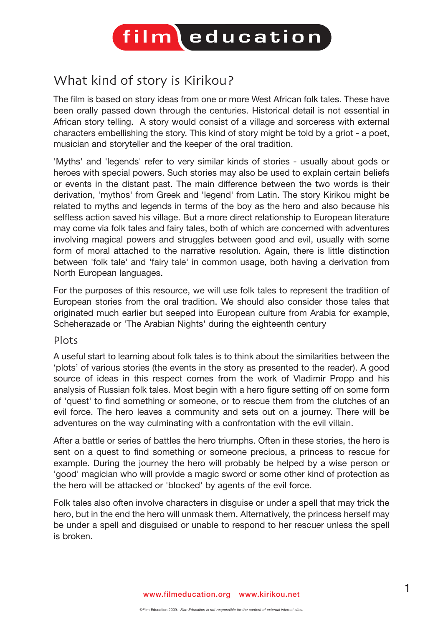## $\int$ film $\int$ education

### What kind of story is Kirikou?

The film is based on story ideas from one or more West African folk tales. These have been orally passed down through the centuries. Historical detail is not essential in African story telling. A story would consist of a village and sorceress with external characters embellishing the story. This kind of story might be told by a griot - a poet, musician and storyteller and the keeper of the oral tradition.

'Myths' and 'legends' refer to very similar kinds of stories - usually about gods or heroes with special powers. Such stories may also be used to explain certain beliefs or events in the distant past. The main difference between the two words is their derivation, 'mythos' from Greek and 'legend' from Latin. The story Kirikou might be related to myths and legends in terms of the boy as the hero and also because his selfless action saved his village. But a more direct relationship to European literature may come via folk tales and fairy tales, both of which are concerned with adventures involving magical powers and struggles between good and evil, usually with some form of moral attached to the narrative resolution. Again, there is little distinction between 'folk tale' and 'fairy tale' in common usage, both having a derivation from North European languages.

For the purposes of this resource, we will use folk tales to represent the tradition of European stories from the oral tradition. We should also consider those tales that originated much earlier but seeped into European culture from Arabia for example, Scheherazade or 'The Arabian Nights' during the eighteenth century

#### Plots

A useful start to learning about folk tales is to think about the similarities between the 'plots' of various stories (the events in the story as presented to the reader). A good source of ideas in this respect comes from the work of Vladimir Propp and his analysis of Russian folk tales. Most begin with a hero figure setting off on some form of 'quest' to find something or someone, or to rescue them from the clutches of an evil force. The hero leaves a community and sets out on a journey. There will be adventures on the way culminating with a confrontation with the evil villain.

After a battle or series of battles the hero triumphs. Often in these stories, the hero is sent on a quest to find something or someone precious, a princess to rescue for example. During the journey the hero will probably be helped by a wise person or 'good' magician who will provide a magic sword or some other kind of protection as the hero will be attacked or 'blocked' by agents of the evil force.

Folk tales also often involve characters in disguise or under a spell that may trick the hero, but in the end the hero will unmask them. Alternatively, the princess herself may be under a spell and disguised or unable to respond to her rescuer unless the spell is broken.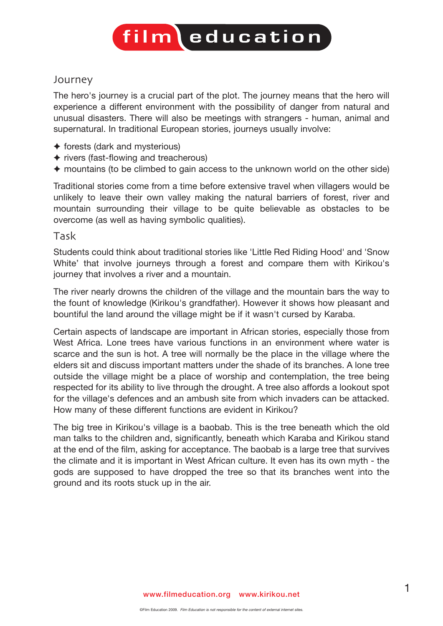#### Journey

The hero's journey is a crucial part of the plot. The journey means that the hero will experience a different environment with the possibility of danger from natural and unusual disasters. There will also be meetings with strangers - human, animal and supernatural. In traditional European stories, journeys usually involve:

- ✦ forests (dark and mysterious)
- ✦ rivers (fast-flowing and treacherous)
- ✦ mountains (to be climbed to gain access to the unknown world on the other side)

Traditional stories come from a time before extensive travel when villagers would be unlikely to leave their own valley making the natural barriers of forest, river and mountain surrounding their village to be quite believable as obstacles to be overcome (as well as having symbolic qualities).

#### Task

Students could think about traditional stories like 'Little Red Riding Hood' and 'Snow White' that involve journeys through a forest and compare them with Kirikou's journey that involves a river and a mountain.

The river nearly drowns the children of the village and the mountain bars the way to the fount of knowledge (Kirikou's grandfather). However it shows how pleasant and bountiful the land around the village might be if it wasn't cursed by Karaba.

Certain aspects of landscape are important in African stories, especially those from West Africa. Lone trees have various functions in an environment where water is scarce and the sun is hot. A tree will normally be the place in the village where the elders sit and discuss important matters under the shade of its branches. A lone tree outside the village might be a place of worship and contemplation, the tree being respected for its ability to live through the drought. A tree also affords a lookout spot for the village's defences and an ambush site from which invaders can be attacked. How many of these different functions are evident in Kirikou?

The big tree in Kirikou's village is a baobab. This is the tree beneath which the old man talks to the children and, significantly, beneath which Karaba and Kirikou stand at the end of the film, asking for acceptance. The baobab is a large tree that survives the climate and it is important in West African culture. It even has its own myth - the gods are supposed to have dropped the tree so that its branches went into the ground and its roots stuck up in the air.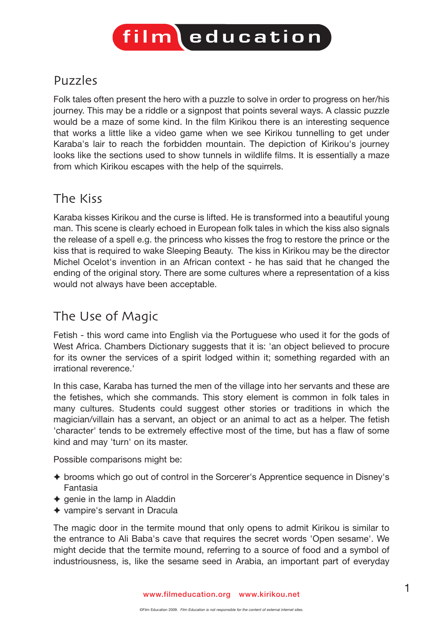#### Puzzles

Folk tales often present the hero with a puzzle to solve in order to progress on her/his journey. This may be a riddle or a signpost that points several ways. A classic puzzle would be a maze of some kind. In the film Kirikou there is an interesting sequence that works a little like a video game when we see Kirikou tunnelling to get under Karaba's lair to reach the forbidden mountain. The depiction of Kirikou's journey looks like the sections used to show tunnels in wildlife films. It is essentially a maze from which Kirikou escapes with the help of the squirrels.

#### The Kiss

Karaba kisses Kirikou and the curse is lifted. He is transformed into a beautiful young man. This scene is clearly echoed in European folk tales in which the kiss also signals the release of a spell e.g. the princess who kisses the frog to restore the prince or the kiss that is required to wake Sleeping Beauty. The kiss in Kirikou may be the director Michel Ocelot's invention in an African context - he has said that he changed the ending of the original story. There are some cultures where a representation of a kiss would not always have been acceptable.

### The Use of Magic

Fetish - this word came into English via the Portuguese who used it for the gods of West Africa. Chambers Dictionary suggests that it is: 'an object believed to procure for its owner the services of a spirit lodged within it; something regarded with an irrational reverence.'

In this case, Karaba has turned the men of the village into her servants and these are the fetishes, which she commands. This story element is common in folk tales in many cultures. Students could suggest other stories or traditions in which the magician/villain has a servant, an object or an animal to act as a helper. The fetish 'character' tends to be extremely effective most of the time, but has a flaw of some kind and may 'turn' on its master.

Possible comparisons might be:

- ✦ brooms which go out of control in the Sorcerer's Apprentice sequence in Disney's Fantasia
- $\triangle$  genie in the lamp in Aladdin
- ✦ vampire's servant in Dracula

The magic door in the termite mound that only opens to admit Kirikou is similar to the entrance to Ali Baba's cave that requires the secret words 'Open sesame'. We might decide that the termite mound, referring to a source of food and a symbol of industriousness, is, like the sesame seed in Arabia, an important part of everyday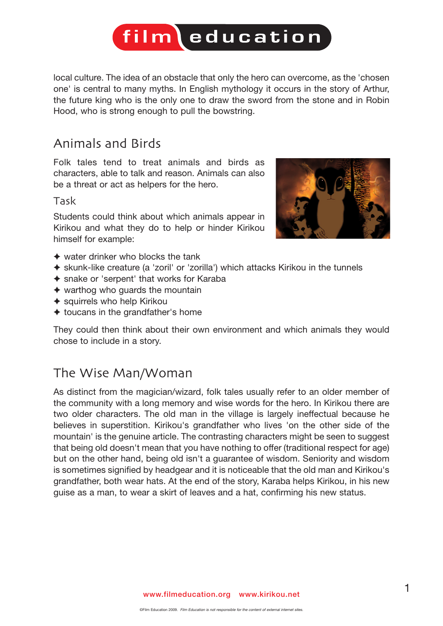local culture. The idea of an obstacle that only the hero can overcome, as the 'chosen one' is central to many myths. In English mythology it occurs in the story of Arthur, the future king who is the only one to draw the sword from the stone and in Robin Hood, who is strong enough to pull the bowstring.

#### Animals and Birds

Folk tales tend to treat animals and birds as characters, able to talk and reason. Animals can also be a threat or act as helpers for the hero.

#### Task

Students could think about which animals appear in Kirikou and what they do to help or hinder Kirikou himself for example:



- $\triangle$  water drinker who blocks the tank
- ✦ skunk-like creature (a 'zoril' or 'zorilla') which attacks Kirikou in the tunnels
- ✦ snake or 'serpent' that works for Karaba
- $\triangleq$  warthog who guards the mountain
- ◆ squirrels who help Kirikou
- $\triangleleft$  toucans in the grandfather's home

They could then think about their own environment and which animals they would chose to include in a story.

### The Wise Man/Woman

As distinct from the magician/wizard, folk tales usually refer to an older member of the community with a long memory and wise words for the hero. In Kirikou there are two older characters. The old man in the village is largely ineffectual because he believes in superstition. Kirikou's grandfather who lives 'on the other side of the mountain' is the genuine article. The contrasting characters might be seen to suggest that being old doesn't mean that you have nothing to offer (traditional respect for age) but on the other hand, being old isn't a guarantee of wisdom. Seniority and wisdom is sometimes signified by headgear and it is noticeable that the old man and Kirikou's grandfather, both wear hats. At the end of the story, Karaba helps Kirikou, in his new guise as a man, to wear a skirt of leaves and a hat, confirming his new status.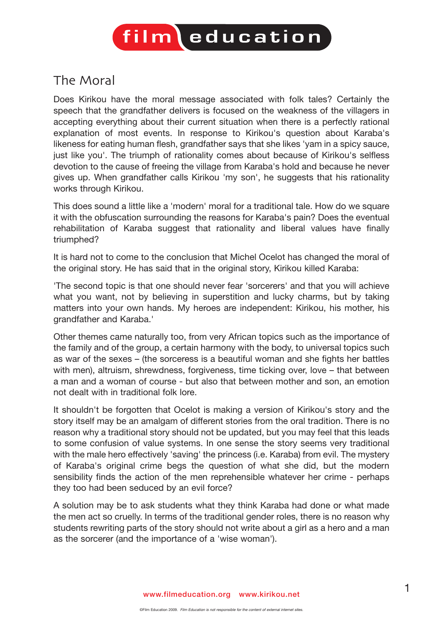### The Moral

Does Kirikou have the moral message associated with folk tales? Certainly the speech that the grandfather delivers is focused on the weakness of the villagers in accepting everything about their current situation when there is a perfectly rational explanation of most events. In response to Kirikou's question about Karaba's likeness for eating human flesh, grandfather says that she likes 'yam in a spicy sauce, just like you'. The triumph of rationality comes about because of Kirikou's selfless devotion to the cause of freeing the village from Karaba's hold and because he never gives up. When grandfather calls Kirikou 'my son', he suggests that his rationality works through Kirikou.

This does sound a little like a 'modern' moral for a traditional tale. How do we square it with the obfuscation surrounding the reasons for Karaba's pain? Does the eventual rehabilitation of Karaba suggest that rationality and liberal values have finally triumphed?

It is hard not to come to the conclusion that Michel Ocelot has changed the moral of the original story. He has said that in the original story, Kirikou killed Karaba:

'The second topic is that one should never fear 'sorcerers' and that you will achieve what you want, not by believing in superstition and lucky charms, but by taking matters into your own hands. My heroes are independent: Kirikou, his mother, his grandfather and Karaba.'

Other themes came naturally too, from very African topics such as the importance of the family and of the group, a certain harmony with the body, to universal topics such as war of the sexes – (the sorceress is a beautiful woman and she fights her battles with men), altruism, shrewdness, forgiveness, time ticking over, love – that between a man and a woman of course - but also that between mother and son, an emotion not dealt with in traditional folk lore.

It shouldn't be forgotten that Ocelot is making a version of Kirikou's story and the story itself may be an amalgam of different stories from the oral tradition. There is no reason why a traditional story should not be updated, but you may feel that this leads to some confusion of value systems. In one sense the story seems very traditional with the male hero effectively 'saving' the princess (i.e. Karaba) from evil. The mystery of Karaba's original crime begs the question of what she did, but the modern sensibility finds the action of the men reprehensible whatever her crime - perhaps they too had been seduced by an evil force?

A solution may be to ask students what they think Karaba had done or what made the men act so cruelly. In terms of the traditional gender roles, there is no reason why students rewriting parts of the story should not write about a girl as a hero and a man as the sorcerer (and the importance of a 'wise woman').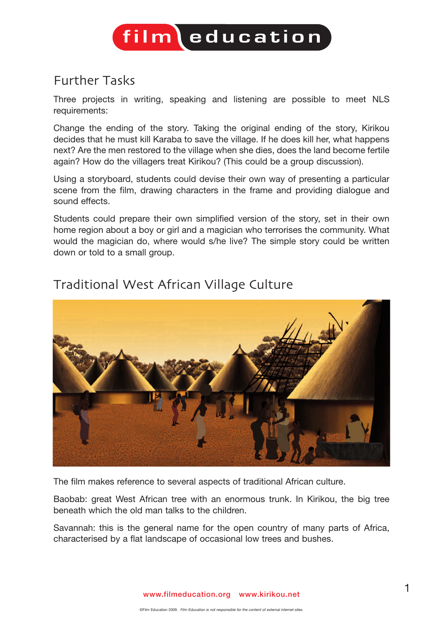### Further Tasks

Three projects in writing, speaking and listening are possible to meet NLS requirements:

Change the ending of the story. Taking the original ending of the story, Kirikou decides that he must kill Karaba to save the village. If he does kill her, what happens next? Are the men restored to the village when she dies, does the land become fertile again? How do the villagers treat Kirikou? (This could be a group discussion).

Using a storyboard, students could devise their own way of presenting a particular scene from the film, drawing characters in the frame and providing dialogue and sound effects.

Students could prepare their own simplified version of the story, set in their own home region about a boy or girl and a magician who terrorises the community. What would the magician do, where would s/he live? The simple story could be written down or told to a small group.



#### Traditional West African Village Culture

The film makes reference to several aspects of traditional African culture.

Baobab: great West African tree with an enormous trunk. In Kirikou, the big tree beneath which the old man talks to the children.

Savannah: this is the general name for the open country of many parts of Africa, characterised by a flat landscape of occasional low trees and bushes.